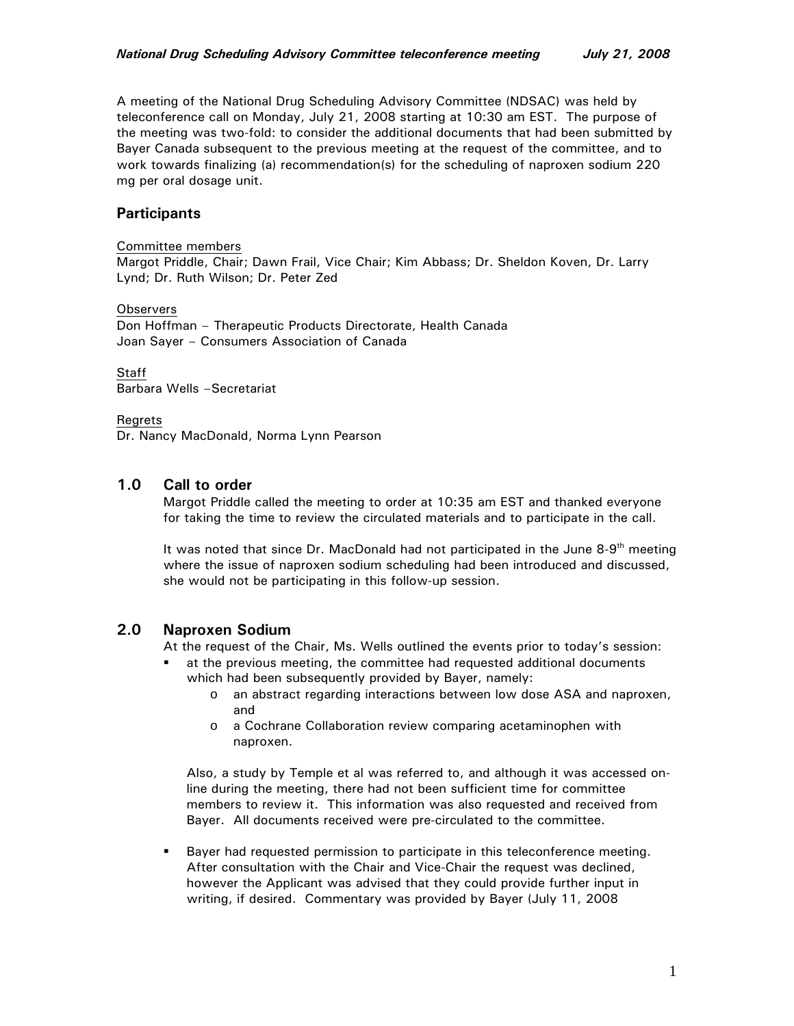A meeting of the National Drug Scheduling Advisory Committee (NDSAC) was held by teleconference call on Monday, July 21, 2008 starting at 10:30 am EST. The purpose of the meeting was two-fold: to consider the additional documents that had been submitted by Bayer Canada subsequent to the previous meeting at the request of the committee, and to work towards finalizing (a) recommendation(s) for the scheduling of naproxen sodium 220 mg per oral dosage unit.

## **Participants**

#### Committee members

Margot Priddle, Chair; Dawn Frail, Vice Chair; Kim Abbass; Dr. Sheldon Koven, Dr. Larry Lynd; Dr. Ruth Wilson; Dr. Peter Zed

#### **Observers**

Don Hoffman – Therapeutic Products Directorate, Health Canada Joan Sayer – Consumers Association of Canada

**Staff** Barbara Wells –Secretariat

#### Regrets

Dr. Nancy MacDonald, Norma Lynn Pearson

## **1.0 Call to order**

Margot Priddle called the meeting to order at 10:35 am EST and thanked everyone for taking the time to review the circulated materials and to participate in the call.

It was noted that since Dr. MacDonald had not participated in the June  $8-9<sup>th</sup>$  meeting where the issue of naproxen sodium scheduling had been introduced and discussed, she would not be participating in this follow-up session.

## **2.0 Naproxen Sodium**

At the request of the Chair, Ms. Wells outlined the events prior to today's session:

- at the previous meeting, the committee had requested additional documents which had been subsequently provided by Bayer, namely:
	- o an abstract regarding interactions between low dose ASA and naproxen, and
	- o a Cochrane Collaboration review comparing acetaminophen with naproxen.

Also, a study by Temple et al was referred to, and although it was accessed online during the meeting, there had not been sufficient time for committee members to review it. This information was also requested and received from Bayer. All documents received were pre-circulated to the committee.

 Bayer had requested permission to participate in this teleconference meeting. After consultation with the Chair and Vice-Chair the request was declined, however the Applicant was advised that they could provide further input in writing, if desired. Commentary was provided by Bayer (July 11, 2008